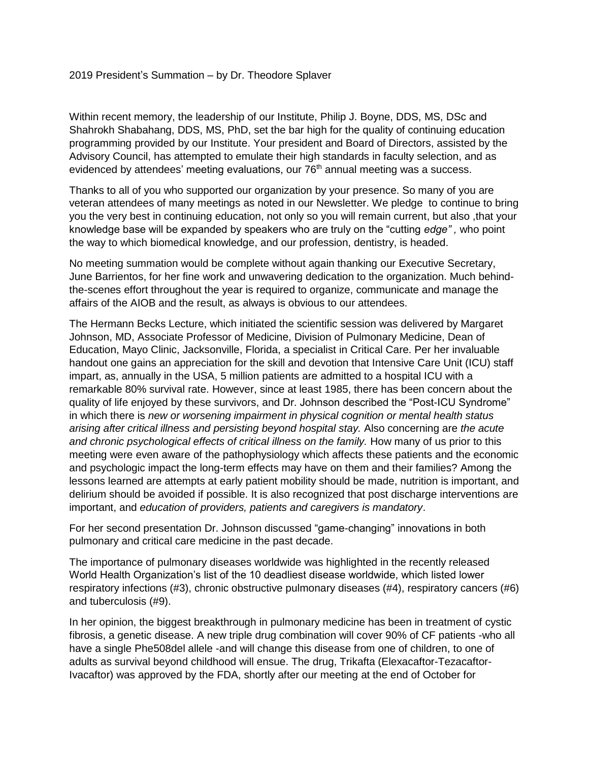## 2019 President's Summation – by Dr. Theodore Splaver

Within recent memory, the leadership of our Institute, Philip J. Boyne, DDS, MS, DSc and Shahrokh Shabahang, DDS, MS, PhD, set the bar high for the quality of continuing education programming provided by our Institute. Your president and Board of Directors, assisted by the Advisory Council, has attempted to emulate their high standards in faculty selection, and as evidenced by attendees' meeting evaluations, our 76<sup>th</sup> annual meeting was a success.

Thanks to all of you who supported our organization by your presence. So many of you are veteran attendees of many meetings as noted in our Newsletter. We pledge to continue to bring you the very best in continuing education, not only so you will remain current, but also ,that your knowledge base will be expanded by speakers who are truly on the "cutting *edge" ,* who point the way to which biomedical knowledge, and our profession, dentistry, is headed.

No meeting summation would be complete without again thanking our Executive Secretary, June Barrientos, for her fine work and unwavering dedication to the organization. Much behindthe-scenes effort throughout the year is required to organize, communicate and manage the affairs of the AIOB and the result, as always is obvious to our attendees.

The Hermann Becks Lecture, which initiated the scientific session was delivered by Margaret Johnson, MD, Associate Professor of Medicine, Division of Pulmonary Medicine, Dean of Education, Mayo Clinic, Jacksonville, Florida, a specialist in Critical Care. Per her invaluable handout one gains an appreciation for the skill and devotion that Intensive Care Unit (ICU) staff impart, as, annually in the USA, 5 million patients are admitted to a hospital ICU with a remarkable 80% survival rate. However, since at least 1985, there has been concern about the quality of life enjoyed by these survivors, and Dr. Johnson described the "Post-ICU Syndrome" in which there is *new or worsening impairment in physical cognition or mental health status arising after critical illness and persisting beyond hospital stay.* Also concerning are *the acute* and chronic psychological effects of critical illness on the family. How many of us prior to this meeting were even aware of the pathophysiology which affects these patients and the economic and psychologic impact the long-term effects may have on them and their families? Among the lessons learned are attempts at early patient mobility should be made, nutrition is important, and delirium should be avoided if possible. It is also recognized that post discharge interventions are important, and *education of providers, patients and caregivers is mandatory*.

For her second presentation Dr. Johnson discussed "game-changing" innovations in both pulmonary and critical care medicine in the past decade.

The importance of pulmonary diseases worldwide was highlighted in the recently released World Health Organization's list of the 10 deadliest disease worldwide, which listed lower respiratory infections (#3), chronic obstructive pulmonary diseases (#4), respiratory cancers (#6) and tuberculosis (#9).

In her opinion, the biggest breakthrough in pulmonary medicine has been in treatment of cystic fibrosis, a genetic disease. A new triple drug combination will cover 90% of CF patients -who all have a single Phe508del allele -and will change this disease from one of children, to one of adults as survival beyond childhood will ensue. The drug, Trikafta (Elexacaftor-Tezacaftor-Ivacaftor) was approved by the FDA, shortly after our meeting at the end of October for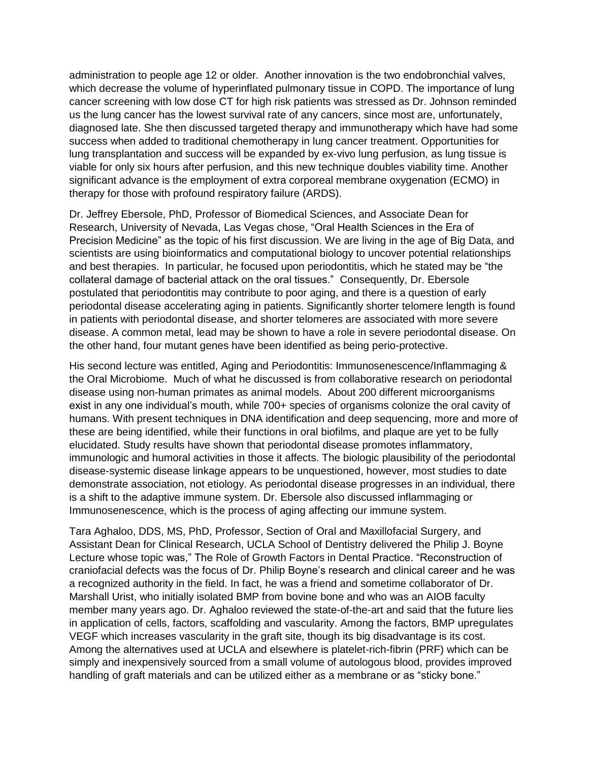administration to people age 12 or older. Another innovation is the two endobronchial valves, which decrease the volume of hyperinflated pulmonary tissue in COPD. The importance of lung cancer screening with low dose CT for high risk patients was stressed as Dr. Johnson reminded us the lung cancer has the lowest survival rate of any cancers, since most are, unfortunately, diagnosed late. She then discussed targeted therapy and immunotherapy which have had some success when added to traditional chemotherapy in lung cancer treatment. Opportunities for lung transplantation and success will be expanded by ex-vivo lung perfusion, as lung tissue is viable for only six hours after perfusion, and this new technique doubles viability time. Another significant advance is the employment of extra corporeal membrane oxygenation (ECMO) in therapy for those with profound respiratory failure (ARDS).

Dr. Jeffrey Ebersole, PhD, Professor of Biomedical Sciences, and Associate Dean for Research, University of Nevada, Las Vegas chose, "Oral Health Sciences in the Era of Precision Medicine" as the topic of his first discussion. We are living in the age of Big Data, and scientists are using bioinformatics and computational biology to uncover potential relationships and best therapies. In particular, he focused upon periodontitis, which he stated may be "the collateral damage of bacterial attack on the oral tissues." Consequently, Dr. Ebersole postulated that periodontitis may contribute to poor aging, and there is a question of early periodontal disease accelerating aging in patients. Significantly shorter telomere length is found in patients with periodontal disease, and shorter telomeres are associated with more severe disease. A common metal, lead may be shown to have a role in severe periodontal disease. On the other hand, four mutant genes have been identified as being perio-protective.

His second lecture was entitled, Aging and Periodontitis: Immunosenescence/Inflammaging & the Oral Microbiome. Much of what he discussed is from collaborative research on periodontal disease using non-human primates as animal models. About 200 different microorganisms exist in any one individual's mouth, while 700+ species of organisms colonize the oral cavity of humans. With present techniques in DNA identification and deep sequencing, more and more of these are being identified, while their functions in oral biofilms, and plaque are yet to be fully elucidated. Study results have shown that periodontal disease promotes inflammatory, immunologic and humoral activities in those it affects. The biologic plausibility of the periodontal disease-systemic disease linkage appears to be unquestioned, however, most studies to date demonstrate association, not etiology. As periodontal disease progresses in an individual, there is a shift to the adaptive immune system. Dr. Ebersole also discussed inflammaging or Immunosenescence, which is the process of aging affecting our immune system.

Tara Aghaloo, DDS, MS, PhD, Professor, Section of Oral and Maxillofacial Surgery, and Assistant Dean for Clinical Research, UCLA School of Dentistry delivered the Philip J. Boyne Lecture whose topic was," The Role of Growth Factors in Dental Practice. "Reconstruction of craniofacial defects was the focus of Dr. Philip Boyne's research and clinical career and he was a recognized authority in the field. In fact, he was a friend and sometime collaborator of Dr. Marshall Urist, who initially isolated BMP from bovine bone and who was an AIOB faculty member many years ago. Dr. Aghaloo reviewed the state-of-the-art and said that the future lies in application of cells, factors, scaffolding and vascularity. Among the factors, BMP upregulates VEGF which increases vascularity in the graft site, though its big disadvantage is its cost. Among the alternatives used at UCLA and elsewhere is platelet-rich-fibrin (PRF) which can be simply and inexpensively sourced from a small volume of autologous blood, provides improved handling of graft materials and can be utilized either as a membrane or as "sticky bone."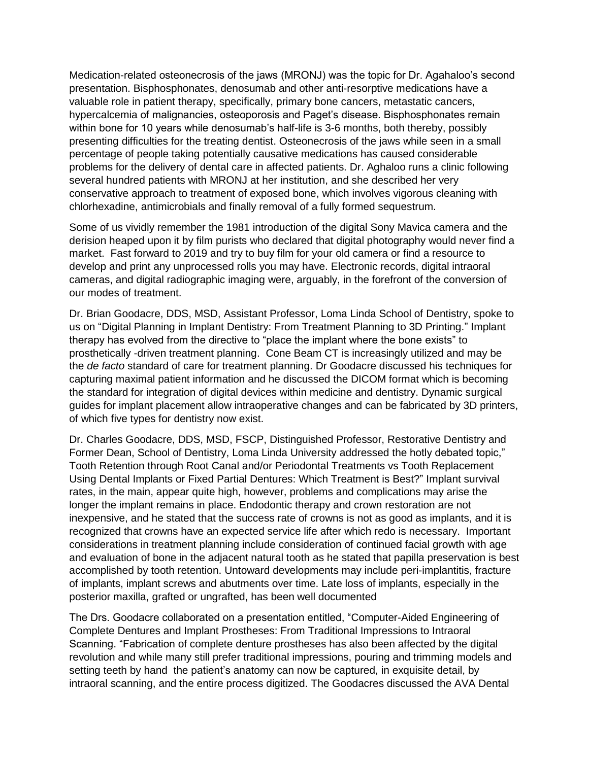Medication-related osteonecrosis of the jaws (MRONJ) was the topic for Dr. Agahaloo's second presentation. Bisphosphonates, denosumab and other anti-resorptive medications have a valuable role in patient therapy, specifically, primary bone cancers, metastatic cancers, hypercalcemia of malignancies, osteoporosis and Paget's disease. Bisphosphonates remain within bone for 10 years while denosumab's half-life is 3-6 months, both thereby, possibly presenting difficulties for the treating dentist. Osteonecrosis of the jaws while seen in a small percentage of people taking potentially causative medications has caused considerable problems for the delivery of dental care in affected patients. Dr. Aghaloo runs a clinic following several hundred patients with MRONJ at her institution, and she described her very conservative approach to treatment of exposed bone, which involves vigorous cleaning with chlorhexadine, antimicrobials and finally removal of a fully formed sequestrum.

Some of us vividly remember the 1981 introduction of the digital Sony Mavica camera and the derision heaped upon it by film purists who declared that digital photography would never find a market. Fast forward to 2019 and try to buy film for your old camera or find a resource to develop and print any unprocessed rolls you may have. Electronic records, digital intraoral cameras, and digital radiographic imaging were, arguably, in the forefront of the conversion of our modes of treatment.

Dr. Brian Goodacre, DDS, MSD, Assistant Professor, Loma Linda School of Dentistry, spoke to us on "Digital Planning in Implant Dentistry: From Treatment Planning to 3D Printing." Implant therapy has evolved from the directive to "place the implant where the bone exists" to prosthetically -driven treatment planning. Cone Beam CT is increasingly utilized and may be the *de facto* standard of care for treatment planning. Dr Goodacre discussed his techniques for capturing maximal patient information and he discussed the DICOM format which is becoming the standard for integration of digital devices within medicine and dentistry. Dynamic surgical guides for implant placement allow intraoperative changes and can be fabricated by 3D printers, of which five types for dentistry now exist.

Dr. Charles Goodacre, DDS, MSD, FSCP, Distinguished Professor, Restorative Dentistry and Former Dean, School of Dentistry, Loma Linda University addressed the hotly debated topic," Tooth Retention through Root Canal and/or Periodontal Treatments vs Tooth Replacement Using Dental Implants or Fixed Partial Dentures: Which Treatment is Best?" Implant survival rates, in the main, appear quite high, however, problems and complications may arise the longer the implant remains in place. Endodontic therapy and crown restoration are not inexpensive, and he stated that the success rate of crowns is not as good as implants, and it is recognized that crowns have an expected service life after which redo is necessary. Important considerations in treatment planning include consideration of continued facial growth with age and evaluation of bone in the adjacent natural tooth as he stated that papilla preservation is best accomplished by tooth retention. Untoward developments may include peri-implantitis, fracture of implants, implant screws and abutments over time. Late loss of implants, especially in the posterior maxilla, grafted or ungrafted, has been well documented

The Drs. Goodacre collaborated on a presentation entitled, "Computer-Aided Engineering of Complete Dentures and Implant Prostheses: From Traditional Impressions to Intraoral Scanning. "Fabrication of complete denture prostheses has also been affected by the digital revolution and while many still prefer traditional impressions, pouring and trimming models and setting teeth by hand the patient's anatomy can now be captured, in exquisite detail, by intraoral scanning, and the entire process digitized. The Goodacres discussed the AVA Dental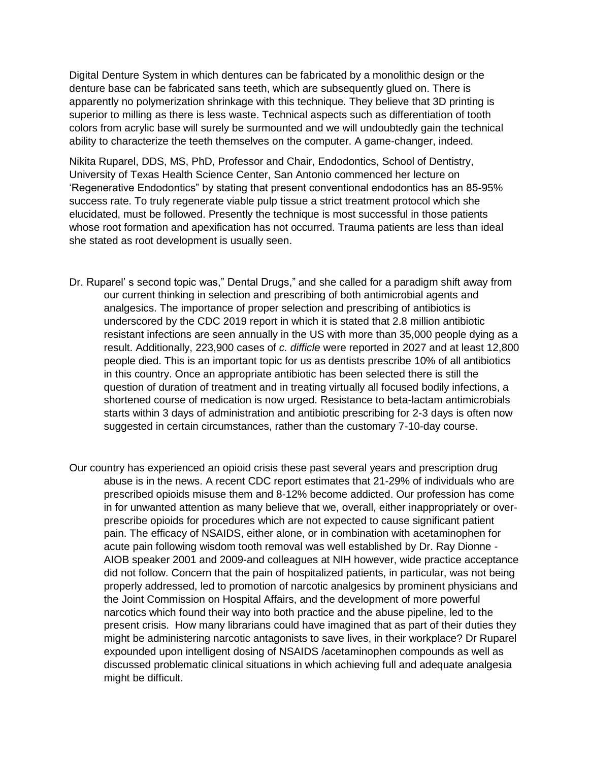Digital Denture System in which dentures can be fabricated by a monolithic design or the denture base can be fabricated sans teeth, which are subsequently glued on. There is apparently no polymerization shrinkage with this technique. They believe that 3D printing is superior to milling as there is less waste. Technical aspects such as differentiation of tooth colors from acrylic base will surely be surmounted and we will undoubtedly gain the technical ability to characterize the teeth themselves on the computer. A game-changer, indeed.

Nikita Ruparel, DDS, MS, PhD, Professor and Chair, Endodontics, School of Dentistry, University of Texas Health Science Center, San Antonio commenced her lecture on 'Regenerative Endodontics" by stating that present conventional endodontics has an 85-95% success rate. To truly regenerate viable pulp tissue a strict treatment protocol which she elucidated, must be followed. Presently the technique is most successful in those patients whose root formation and apexification has not occurred. Trauma patients are less than ideal she stated as root development is usually seen.

- Dr. Ruparel' s second topic was," Dental Drugs," and she called for a paradigm shift away from our current thinking in selection and prescribing of both antimicrobial agents and analgesics. The importance of proper selection and prescribing of antibiotics is underscored by the CDC 2019 report in which it is stated that 2.8 million antibiotic resistant infections are seen annually in the US with more than 35,000 people dying as a result. Additionally, 223,900 cases of *c. difficle* were reported in 2027 and at least 12,800 people died. This is an important topic for us as dentists prescribe 10% of all antibiotics in this country. Once an appropriate antibiotic has been selected there is still the question of duration of treatment and in treating virtually all focused bodily infections, a shortened course of medication is now urged. Resistance to beta-lactam antimicrobials starts within 3 days of administration and antibiotic prescribing for 2-3 days is often now suggested in certain circumstances, rather than the customary 7-10-day course.
- Our country has experienced an opioid crisis these past several years and prescription drug abuse is in the news. A recent CDC report estimates that 21-29% of individuals who are prescribed opioids misuse them and 8-12% become addicted. Our profession has come in for unwanted attention as many believe that we, overall, either inappropriately or overprescribe opioids for procedures which are not expected to cause significant patient pain. The efficacy of NSAIDS, either alone, or in combination with acetaminophen for acute pain following wisdom tooth removal was well established by Dr. Ray Dionne - AIOB speaker 2001 and 2009-and colleagues at NIH however, wide practice acceptance did not follow. Concern that the pain of hospitalized patients, in particular, was not being properly addressed, led to promotion of narcotic analgesics by prominent physicians and the Joint Commission on Hospital Affairs, and the development of more powerful narcotics which found their way into both practice and the abuse pipeline, led to the present crisis. How many librarians could have imagined that as part of their duties they might be administering narcotic antagonists to save lives, in their workplace? Dr Ruparel expounded upon intelligent dosing of NSAIDS /acetaminophen compounds as well as discussed problematic clinical situations in which achieving full and adequate analgesia might be difficult.